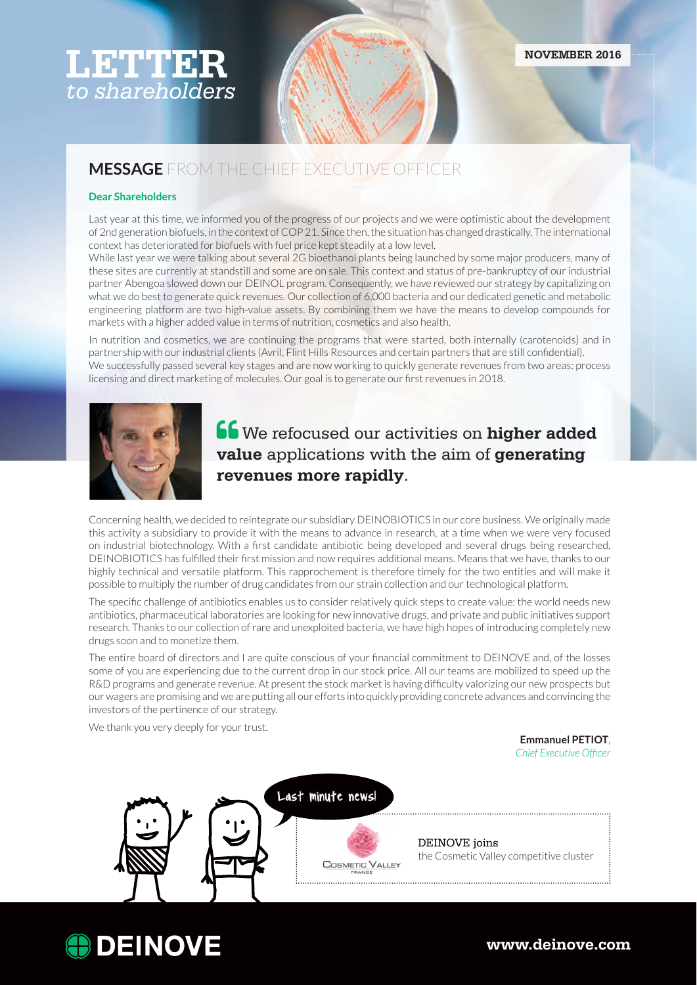# **LETTER** *to shareholders*

## **MESSAGE** FROM THE CHIEF EXECUTIVE OFFICER

#### **Dear Shareholders**

Last year at this time, we informed you of the progress of our projects and we were optimistic about the development of 2nd generation biofuels, in the context of COP 21. Since then, the situation has changed drastically. The international context has deteriorated for biofuels with fuel price kept steadily at a low level.

While last year we were talking about several 2G bioethanol plants being launched by some major producers, many of these sites are currently at standstill and some are on sale. This context and status of pre-bankruptcy of our industrial partner Abengoa slowed down our DEINOL program. Consequently, we have reviewed our strategy by capitalizing on what we do best to generate quick revenues. Our collection of 6,000 bacteria and our dedicated genetic and metabolic engineering platform are two high-value assets. By combining them we have the means to develop compounds for markets with a higher added value in terms of nutrition, cosmetics and also health.

In nutrition and cosmetics, we are continuing the programs that were started, both internally (carotenoids) and in partnership with our industrial clients (Avril, Flint Hills Resources and certain partners that are still confidential). We successfully passed several key stages and are now working to quickly generate revenues from two areas: process licensing and direct marketing of molecules. Our goal is to generate our first revenues in 2018.



**<u>ff</u>** We refocused our activities on higher added **value** applications with the aim of **generating revenues more rapidly**.

Concerning health, we decided to reintegrate our subsidiary DEINOBIOTICS in our core business. We originally made this activity a subsidiary to provide it with the means to advance in research, at a time when we were very focused on industrial biotechnology. With a first candidate antibiotic being developed and several drugs being researched, DEINOBIOTICS has fulfilled their first mission and now requires additional means. Means that we have, thanks to our highly technical and versatile platform. This rapprochement is therefore timely for the two entities and will make it possible to multiply the number of drug candidates from our strain collection and our technological platform.

The specific challenge of antibiotics enables us to consider relatively quick steps to create value: the world needs new antibiotics, pharmaceutical laboratories are looking for new innovative drugs, and private and public initiatives support research. Thanks to our collection of rare and unexploited bacteria, we have high hopes of introducing completely new drugs soon and to monetize them.

The entire board of directors and I are quite conscious of your financial commitment to DEINOVE and, of the losses some of you are experiencing due to the current drop in our stock price. All our teams are mobilized to speed up the R&D programs and generate revenue. At present the stock market is having difficulty valorizing our new prospects but our wagers are promising and we are putting all our efforts into quickly providing concrete advances and convincing the investors of the pertinence of our strategy.

We thank you very deeply for your trust.

**Emmanuel PETIOT**, *Chief Executive Officer* 



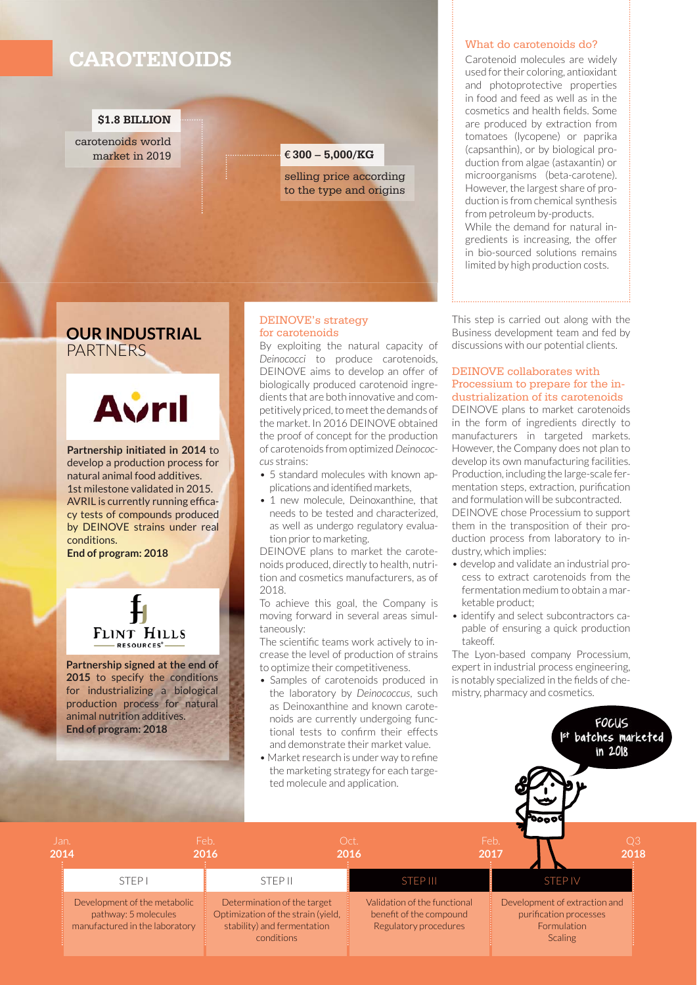## **CAROTENOIDS**

#### **\$1.8 BILLION**

carotenoids world market in 2019

#### € **300 – 5,000/KG**

selling price according to the type and origins

### **OUR INDUSTRIAL** PARTNERS



**Partnership initiated in 2014** to develop a production process for natural animal food additives. 1st milestone validated in 2015. AVRIL is currently running efficacy tests of compounds produced by DEINOVE strains under real conditions.

**End of program: 2018**



**Partnership signed at the end of 2015** to specify the conditions for industrializing a biological production process for natural animal nutrition additives. **End of program: 2018**

#### DEINOVE's strategy for carotenoids

By exploiting the natural capacity of *Deinococci* to produce carotenoids, DEINOVE aims to develop an offer of biologically produced carotenoid ingredients that are both innovative and competitively priced, to meet the demands of the market. In 2016 DEINOVE obtained the proof of concept for the production of carotenoids from optimized *Deinococcus* strains:

- 5 standard molecules with known applications and identified markets.
- 1 new molecule, Deinoxanthine, that needs to be tested and characterized, as well as undergo regulatory evaluation prior to marketing.

DEINOVE plans to market the carotenoids produced, directly to health, nutrition and cosmetics manufacturers, as of  $2018$ 

To achieve this goal, the Company is moving forward in several areas simultaneously:

The scientific teams work actively to increase the level of production of strains to optimize their competitiveness.

- Samples of carotenoids produced in the laboratory by *Deinococcus*, such as Deinoxanthine and known carotenoids are currently undergoing functional tests to confirm their effects and demonstrate their market value.
- Market research is under way to refine the marketing strategy for each targeted molecule and application.

#### What do carotenoids do?

Carotenoid molecules are widely used for their coloring, antioxidant and photoprotective properties in food and feed as well as in the cosmetics and health fields. Some are produced by extraction from tomatoes (lycopene) or paprika (capsanthin), or by biological production from algae (astaxantin) or microorganisms (beta-carotene). However, the largest share of production is from chemical synthesis from petroleum by-products. While the demand for natural ingredients is increasing, the offer in bio-sourced solutions remains limited by high production costs.

This step is carried out along with the Business development team and fed by discussions with our potential clients.

#### DEINOVE collaborates with Processium to prepare for the industrialization of its carotenoids

DEINOVE plans to market carotenoids in the form of ingredients directly to manufacturers in targeted markets. However, the Company does not plan to develop its own manufacturing facilities. Production, including the large-scale fermentation steps, extraction, purification and formulation will be subcontracted. DEINOVE chose Processium to support them in the transposition of their production process from laboratory to industry, which implies:

- develop and validate an industrial process to extract carotenoids from the fermentation medium to obtain a marketable product;
- identify and select subcontractors capable of ensuring a quick production takeoff.

The Lyon-based company Processium, expert in industrial process engineering, is notably specialized in the fields of chemistry, pharmacy and cosmetics.

> **FOCUS** Ist batches marketed

|              |                                                                                        | ted molecule and application.                                                                                  | • Market research is under way to refine<br>the marketing strategy for each targe- | 'Oooo'                                                                                   |
|--------------|----------------------------------------------------------------------------------------|----------------------------------------------------------------------------------------------------------------|------------------------------------------------------------------------------------|------------------------------------------------------------------------------------------|
| Jan.<br>2014 |                                                                                        | Feb.<br>2016                                                                                                   | Oct.<br>2016                                                                       | Feb.<br>Q3<br>2018<br>2017                                                               |
|              | STEP <sub>1</sub>                                                                      | <b>STEP II</b>                                                                                                 | <b>STEP III</b>                                                                    | <b>STEP IV</b>                                                                           |
|              | Development of the metabolic<br>pathway: 5 molecules<br>manufactured in the laboratory | Determination of the target<br>Optimization of the strain (yield,<br>stability) and fermentation<br>conditions | Validation of the functional<br>benefit of the compound<br>Regulatory procedures   | Development of extraction and<br>purification processes<br>Formulation<br><b>Scaling</b> |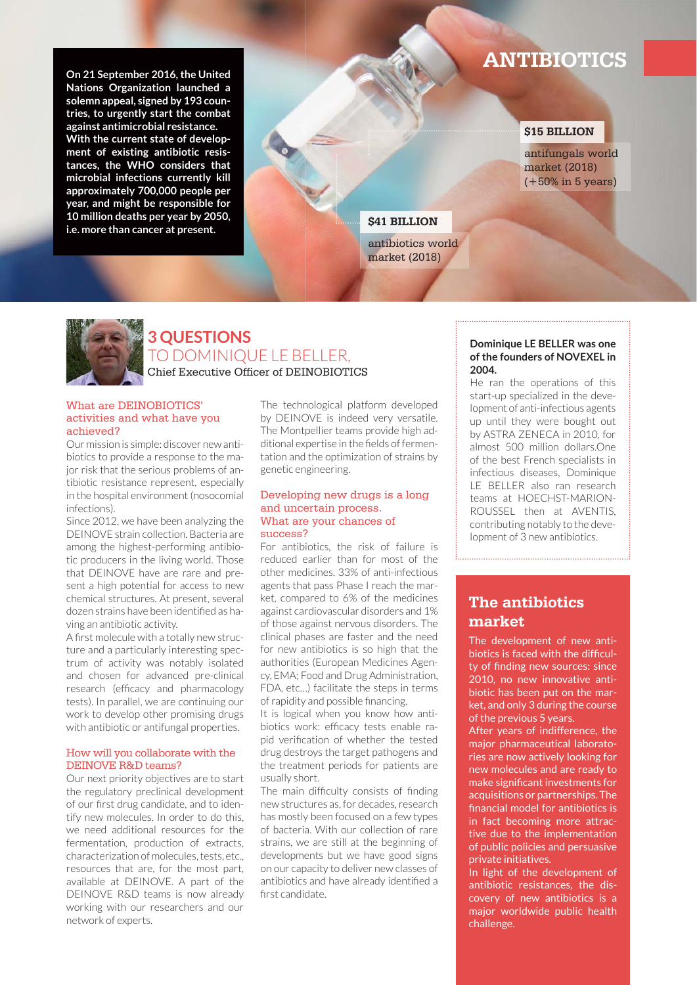**On 21 September 2016, the United Nations Organization launched a solemn appeal, signed by 193 countries, to urgently start the combat against antimicrobial resistance. With the current state of development of existing antibiotic resistances, the WHO considers that microbial infections currently kill approximately 700,000 people per year, and might be responsible for 10 million deaths per year by 2050, i.e. more than cancer at present.**

## **ANTIBIOTICS**

#### **\$15 BILLION**

antifungals world market (2018) (+50% in 5 years)

#### **\$41 BILLION**

antibiotics world market (2018)



### **3 QUESTIONS** TO DOMINIQUE LE BELLER, Chief Executive Officer of DEINOBIOTICS

#### What are DEINOBIOTICS' activities and what have you achieved?

Our mission is simple: discover new antibiotics to provide a response to the major risk that the serious problems of antibiotic resistance represent, especially in the hospital environment (nosocomial infections).

Since 2012, we have been analyzing the DEINOVE strain collection. Bacteria are among the highest-performing antibiotic producers in the living world. Those that DEINOVE have are rare and present a high potential for access to new chemical structures. At present, several dozen strains have been identified as having an antibiotic activity.

A first molecule with a totally new structure and a particularly interesting spectrum of activity was notably isolated and chosen for advanced pre-clinical research (efficacy and pharmacology tests). In parallel, we are continuing our work to develop other promising drugs with antibiotic or antifungal properties.

#### How will you collaborate with the DEINOVE R&D teams?

Our next priority objectives are to start the regulatory preclinical development of our first drug candidate, and to identify new molecules. In order to do this, we need additional resources for the fermentation, production of extracts, characterization of molecules, tests, etc., resources that are, for the most part, available at DEINOVE. A part of the DEINOVE R&D teams is now already working with our researchers and our network of experts.

The technological platform developed by DEINOVE is indeed very versatile. The Montpellier teams provide high additional expertise in the fields of fermentation and the optimization of strains by genetic engineering.

#### Developing new drugs is a long and uncertain process. What are your chances of success?

For antibiotics, the risk of failure is reduced earlier than for most of the other medicines. 33% of anti-infectious agents that pass Phase I reach the market, compared to 6% of the medicines against cardiovascular disorders and 1% of those against nervous disorders. The clinical phases are faster and the need for new antibiotics is so high that the authorities (European Medicines Agency, EMA; Food and Drug Administration, FDA, etc…) facilitate the steps in terms of rapidity and possible financing.

It is logical when you know how antibiotics work: efficacy tests enable rapid verification of whether the tested drug destroys the target pathogens and the treatment periods for patients are usually short.

The main difficulty consists of finding new structures as, for decades, research has mostly been focused on a few types of bacteria. With our collection of rare strains, we are still at the beginning of developments but we have good signs on our capacity to deliver new classes of antibiotics and have already identified a first candidate.

#### **Dominique LE BELLER was one of the founders of NOVEXEL in 2004.**

He ran the operations of this start-up specialized in the development of anti-infectious agents up until they were bought out by ASTRA ZENECA in 2010, for almost 500 million dollars.One of the best French specialists in infectious diseases, Dominique LE BELLER also ran research teams at HOECHST-MARION-ROUSSEL then at AVENTIS, contributing notably to the development of 3 new antibiotics.

### **The antibiotics market**

The development of new antibiotics is faced with the difficulty of finding new sources: since 2010, no new innovative antibiotic has been put on the market, and only 3 during the course of the previous 5 years.

After years of indifference, the major pharmaceutical laboratories are now actively looking for new molecules and are ready to make significant investments for acquisitions or partnerships. The financial model for antibiotics is in fact becoming more attractive due to the implementation of public policies and persuasive private initiatives.

In light of the development of antibiotic resistances, the discovery of new antibiotics is a major worldwide public health challenge.